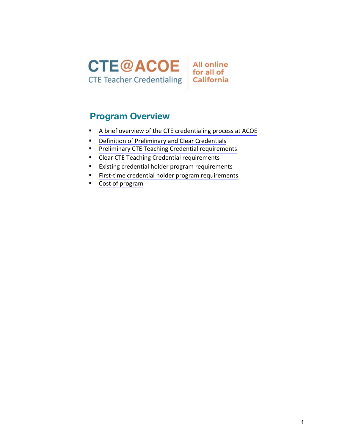



# **Program Overview**

- [A brief overview of the CTE credentialing process at ACOE](#page-1-0)
- **•** [Definition of Preliminary and Clear Credentials](#page-1-0)
- **Preliminary CTE [Teaching Credential requirements](#page-2-0)**
- **EXECTE Teaching Credential requirements**
- **[Existing credential holder program requirements](#page-3-0)**
- [First-time credential holder program requirements](#page--1-0)
- [Cost of program](#page--1-0)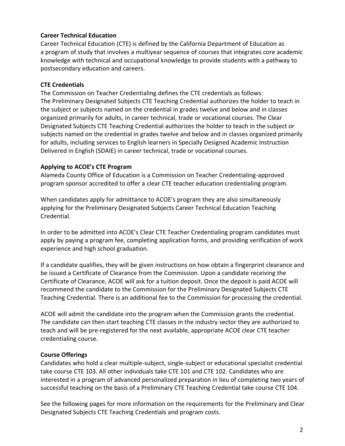### <span id="page-1-0"></span>**Career Technical Education**

Career Technical Education (CTE) is defined by the California Department of Education as a program of study that involves a multiyear sequence of courses that integrates core academic knowledge with technical and occupational knowledge to provide students with a pathway to postsecondary education and careers.

### **CTE Credentials**

The [Commission on Teacher Credentialing defines the CTE credentials as follows:](https://www.ctc.ca.gov/docs/default-source/leaflets/cl888.pdf?sfvrsn=88065bf8_18) The Preliminary Designated Subjects CTE Teaching Credential authorizes the holder to teach in the [subject or subjects](https://www.ctc.ca.gov/docs/default-source/leaflets/cl888.pdf?sfvrsn=88065bf8_18) named on the credential in grades twelve and below and in classes organized primarily for adults, in career technical, trade or vocational courses. The Clear Designated Subjects CTE Teaching Credential authorizes the holder to teach in the subject or [subjects named on the credential in grades twelve and below and in classes organized primar](https://www.ctc.ca.gov/docs/default-source/leaflets/cl888.pdf?sfvrsn=88065bf8_18)ily for adults, including services to English learners in Specially Designed Academic Instruction Delivered in English (SDAIE) in career technical, trade or vocational courses.

#### **Applying to ACOE's CTE Program**

Alameda County Office of Education is a Commission on Teacher Credentialing-approved program sponsor accredited to offer a clear CTE teacher education credentialing program.

When candidates apply for admittance to ACOE's program they are also simultaneously applying for the Preliminary Designated Subjects Career Technical Education Teaching Credential.

In order to be admitted into ACOE's Clear CTE Teacher Credentialing program candidates must apply by paying a program fee, completing application forms, and providing verification of work experience and high school graduation.

If a candidate qualifies, they will be given instructions on how obtain a fingerprint clearance and be issued a Certificate of Clearance from the Commission. Upon a candidate receiving the Certificate of Clearance, ACOE will ask for a tuition deposit. Once the deposit is paid ACOE will recommend the candidate to the Commission for the Preliminary Designated Subjects CTE Teaching Credential. There is an additional fee to the Commission for processing the credential.

ACOE will admit the candidate into the program when the Commission grants the credential. The candidate can then start teaching CTE classes in the industry sector they are authorized to teach and will be pre-registered for the next available, appropriate ACOE clear CTE teacher credentialing course.

### **Course Offerings**

Candidates who hold a clear multiple-subject, single-subject or educational specialist credential take course CTE 103. All other individuals take CTE 101 and CTE 102. Candidates who are interested in a program of advanced personalized preparation in lieu of completing two years of successful teaching on the basis of a Preliminary CTE Teaching Credential take course CTE 104.

See the following pages for more information on the requirements for the Preliminary and Clear Designated Subjects CTE Teaching Credentials and program costs.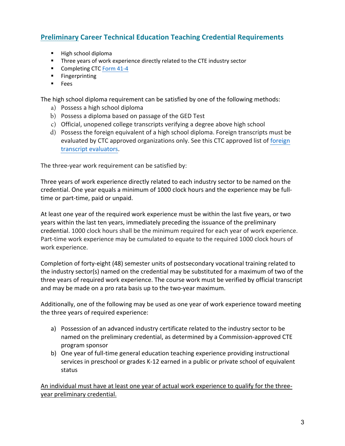# <span id="page-2-0"></span>**Preliminary Career Technical Education Teaching Credential Requirements**

- High school diploma
- Three years of work experience directly related to the CTE industry sector
- Completing CTC [Form](https://www.ctc.ca.gov/docs/default-source/leaflets/cl888.pdf?sfvrsn=88065bf8_18) 41-4
- § Fingerprinting
- § Fees

The high school diploma requirement can be satisfied by one of the following methods:

- a) Possess a high school diploma
- b) Possess a diploma based on passage of the GED Test
- c) Official, unopened college transcripts verifying a degree above high school
- d) Possess the foreign equivalent of a high school diploma. Foreign transcripts must be [evaluated by CTC approved organizations only. See this CTC approved list of foreign](https://www.ctc.ca.gov/docs/default-source/leaflets/cl635.pdf?sfvrsn=bb4f6e6a_6) transcript evaluators.

The three-year work requirement can be satisfied by:

Three years of work experience directly related to each industry sector to be named on the credential. One year equals a minimum of 1000 clock hours and the experience may be fulltime or part-time, paid or unpaid.

At least one year of the required work experience must be within the last five years, or two years within the last ten years, immediately preceding the issuance of the preliminary credential. 1000 clock hours shall be the minimum required for each year of work experience. Part-time work experience may be cumulated to equate to the required 1000 clock hours of work experience.

Completion of forty-eight (48) semester units of postsecondary vocational training related to the industry sector(s) named on the credential may be substituted for a maximum of two of the three years of required work experience. The course work must be verified by official transcript and may be made on a pro rata basis up to the two-year maximum.

Additionally, one of the following may be used as one year of work experience toward meeting the three years of required experience:

- a) Possession of an advanced industry certificate related to the industry sector to be named on the preliminary credential, as determined by a Commission-approved CTE program sponsor
- b) One year of full-time general education teaching experience providing instructional services in preschool or grades K-12 earned in a public or private school of equivalent status

An individual must have at least one year of actual work experience to qualify for the threeyear preliminary credential.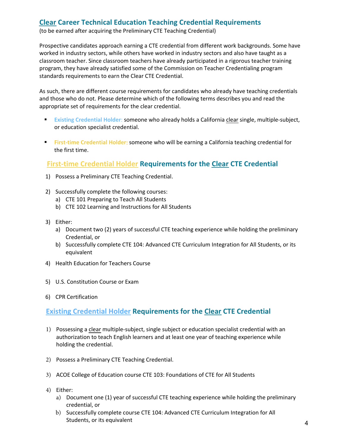# <span id="page-3-0"></span>**Clear Career Technical Education Teaching Credential Requirements**

(to be earned after acquiring the Preliminary CTE Teaching Credential)

Prospective candidates approach earning a CTE credential from different work backgrounds. Some have worked in industry sectors, while others have worked in industry sectors and also have taught as a classroom teacher. Since classroom teachers have already participated in a rigorous teacher training program, they have already satisfied some of the Commission on Teacher Credentialing program standards requirements to earn the Clear CTE Credential.

As such, there are different course requirements for candidates who already have teaching credentials and those who do not. Please determine which of the following terms describes you and read the appropriate set of requirements for the clear credential.

- § **Existing Credential Holder**: someone who already holds a California clear single, multiple-subject, or education specialist credential.
- § **First-time Credential Holder**: someone who will be earning a California teaching credential for the first time.

# **First-time Credential Holder Requirements for the Clear CTE Credential**

- 1) Possess a Preliminary CTE Teaching Credential.
- 2) Successfully complete the following courses:
	- a) CTE 101 Preparing to Teach All Students
	- b) CTE 102 Learning and Instructions for All Students
- 3) Either:
	- a) Document two (2) years of successful CTE teaching experience while holding the preliminary Credential, or
	- b) Successfully complete CTE 104: Advanced CTE Curriculum Integration for All Students, or its equivalent
- 4) Health Education for Teachers Course
- 5) U.S. Constitution Course or Exam
- 6) CPR Certification

## **Existing Credential Holder Requirements for the Clear CTE Credential**

- 1) Possessing a clear multiple-subject, single subject or education specialist credential with an authorization to teach English learners and at least one year of teaching experience while holding the credential.
- 2) Possess a Preliminary CTE Teaching Credential.
- 3) ACOE College of Education course CTE 103: Foundations of CTE for All Students
- 4) Either:
	- a) Document one (1) year of successful CTE teaching experience while holding the preliminary credential, or
	- b) Successfully complete course CTE 104: Advanced CTE Curriculum Integration for All Students, or its equivalent